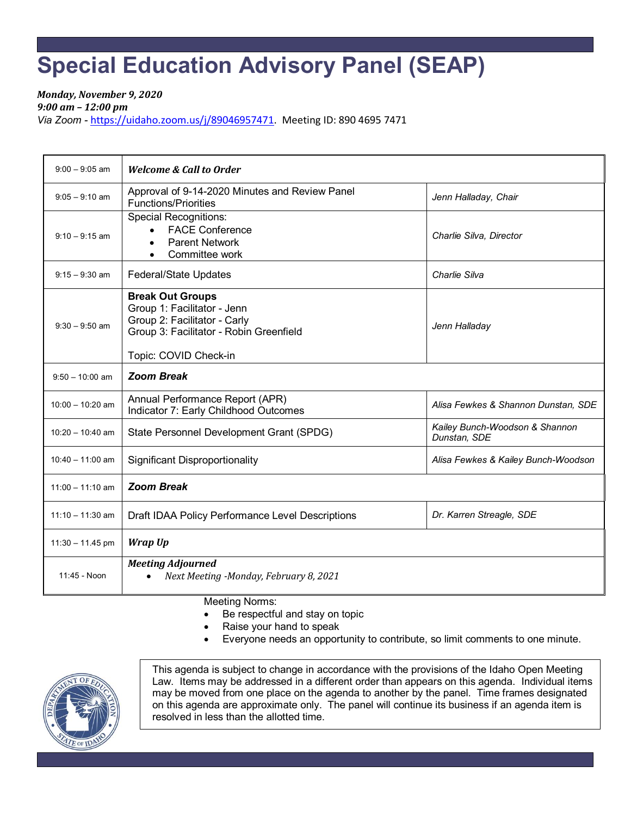## **Special Education Advisory Panel (SEAP)**

*Monday, November 9, 2020 9:00 am – 12:00 pm* 

*Via Zoom -* [https://uidaho.zoom.us/j/89046957471.](https://uidaho.zoom.us/j/89046957471) Meeting ID: 890 4695 7471

| $9:00 - 9:05$ am   | <b>Welcome &amp; Call to Order</b>                                                                                                                         |                                                |
|--------------------|------------------------------------------------------------------------------------------------------------------------------------------------------------|------------------------------------------------|
| $9:05 - 9:10$ am   | Approval of 9-14-2020 Minutes and Review Panel<br><b>Functions/Priorities</b>                                                                              | Jenn Halladay, Chair                           |
| $9:10 - 9:15$ am   | <b>Special Recognitions:</b><br><b>FACE Conference</b><br>$\bullet$<br><b>Parent Network</b><br>Committee work<br>$\bullet$                                | Charlie Silva, Director                        |
| $9:15 - 9:30$ am   | <b>Federal/State Updates</b>                                                                                                                               | Charlie Silva                                  |
| $9:30 - 9:50$ am   | <b>Break Out Groups</b><br>Group 1: Facilitator - Jenn<br>Group 2: Facilitator - Carly<br>Group 3: Facilitator - Robin Greenfield<br>Topic: COVID Check-in | Jenn Halladay                                  |
| $9:50 - 10:00$ am  | <b>Zoom Break</b>                                                                                                                                          |                                                |
| $10:00 - 10:20$ am | Annual Performance Report (APR)<br>Indicator 7: Early Childhood Outcomes                                                                                   | Alisa Fewkes & Shannon Dunstan, SDE            |
| $10:20 - 10:40$ am | State Personnel Development Grant (SPDG)                                                                                                                   | Kailey Bunch-Woodson & Shannon<br>Dunstan, SDE |
| $10:40 - 11:00$ am | <b>Significant Disproportionality</b>                                                                                                                      | Alisa Fewkes & Kailey Bunch-Woodson            |
| $11:00 - 11:10$ am | <b>Zoom Break</b>                                                                                                                                          |                                                |
| $11:10 - 11:30$ am | Draft IDAA Policy Performance Level Descriptions                                                                                                           | Dr. Karren Streagle, SDE                       |
| $11:30 - 11.45$ pm | Wrap Up                                                                                                                                                    |                                                |
| 11:45 - Noon       | <b>Meeting Adjourned</b><br>Next Meeting -Monday, February 8, 2021                                                                                         |                                                |

Meeting Norms:

- Be respectful and stay on topic
- Raise your hand to speak
- Everyone needs an opportunity to contribute, so limit comments to one minute.



This agenda is subject to change in accordance with the provisions of the Idaho Open Meeting Law. Items may be addressed in a different order than appears on this agenda. Individual items may be moved from one place on the agenda to another by the panel. Time frames designated on this agenda are approximate only. The panel will continue its business if an agenda item is resolved in less than the allotted time.